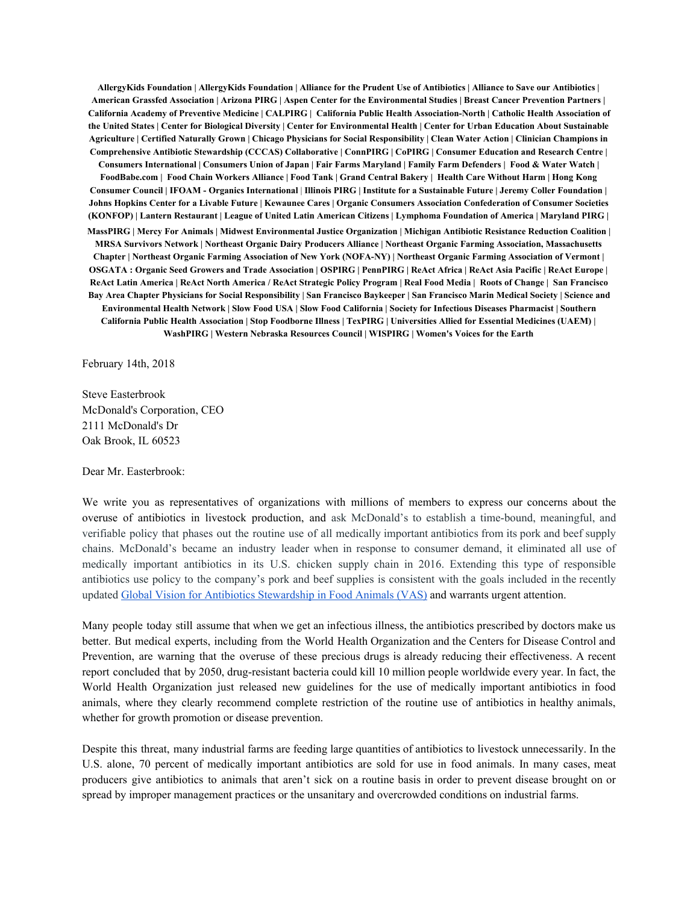AllergyKids Foundation | AllergyKids Foundation | Alliance for the Prudent Use of Antibiotics | Alliance to Save our Antibiotics | American Grassfed Association | Arizona PIRG | Aspen Center for the Environmental Studies | Breast Cancer Prevention Partners | California Academy of Preventive Medicine | CALPIRG | California Public Health Association-North | Catholic Health Association of the United States | Center for Biological Diversity | Center for Environmental Health | Center for Urban Education About Sustainable Agriculture | Certified Naturally Grown | Chicago Physicians for Social Responsibility | Clean Water Action | Clinician Champions in Comprehensive Antibiotic Stewardship (CCCAS) Collaborative | ConnPIRG | CoPIRG | Consumer Education and Research Centre | Consumers International | Consumers Union of Japan | Fair Farms Maryland | Family Farm Defenders | Food & Water Watch | FoodBabe.com | Food Chain Workers Alliance | Food Tank | Grand Central Bakery | Health Care Without Harm | Hong Kong Consumer Council | IFOAM - Organics International | Illinois PIRG | Institute for a Sustainable Future | Jeremy Coller Foundation | Johns Hopkins Center for a Livable Future | Kewaunee Cares | Organic Consumers Association Confederation of Consumer Societies (KONFOP) | Lantern Restaurant | League of United Latin American Citizens | Lymphoma Foundation of America | Maryland PIRG | MassPIRG | Mercy For Animals | Midwest Environmental Justice Organization | Michigan Antibiotic Resistance Reduction Coalition | MRSA Survivors Network | Northeast Organic Dairy Producers Alliance | Northeast Organic Farming Association, Massachusetts Chapter | Northeast Organic Farming Association of New York (NOFA-NY) | Northeast Organic Farming Association of Vermont | OSGATA: Organic Seed Growers and Trade Association | OSPIRG | PennPIRG | ReAct Africa | ReAct Asia Pacific | ReAct Europe | ReAct Latin America | ReAct North America / ReAct Strategic Policy Program | Real Food Media | Roots of Change | San Francisco Bay Area Chapter Physicians for Social Responsibility | San Francisco Baykeeper | San Francisco Marin Medical Society | Science and Environmental Health Network | Slow Food USA | Slow Food California | Society for Infectious Diseases Pharmacist | Southern California Public Health Association | Stop Foodborne Illness | TexPIRG | Universities Allied for Essential Medicines (UAEM) | **WashPIRG | Western Nebraska Resources Council | WISPIRG | Women's Voices for the Earth**

February 14th, 2018

Steve Easterbrook McDonald's Corporation, CEO 2111 McDonald's Dr Oak Brook, IL 60523

Dear Mr. Easterbrook:

We write you as representatives of organizations with millions of members to express our concerns about the overuse of antibiotics in livestock production, and ask McDonald's to establish a time-bound, meaningful, and verifiable policy that phases out the routine use of all medically important antibiotics from its pork and beef supply chains. McDonald's became an industry leader when in response to consumer demand, it eliminated all use of medically important antibiotics in its U.S. chicken supply chain in 2016. Extending this type of responsible antibiotics use policy to the company's pork and beef supplies is consistent with the goals included in the recently updated Global Vision for Antibiotics [Stewardship](http://corporate.mcdonalds.com/content/dam/AboutMcDonalds/2.0/pdfs/sustainability/McDonalds-Global-Vision-for-Antimicrobial-Stewardship-in-Food.pdf) in Food Animals (VAS) and warrants urgent attention.

Many people today still assume that when we get an infectious illness, the antibiotics prescribed by doctors make us better. But medical experts, including from the World Health Organization and the Centers for Disease Control and Prevention, are warning that the overuse of these precious drugs is already reducing their effectiveness. A recent report concluded that by 2050, drug-resistant bacteria could kill 10 million people worldwide every year. In fact, the World Health Organization just released new guidelines for the use of medically important antibiotics in food animals, where they clearly recommend complete restriction of the routine use of antibiotics in healthy animals, whether for growth promotion or disease prevention.

Despite this threat, many industrial farms are feeding large quantities of antibiotics to livestock unnecessarily. In the U.S. alone, 70 percent of medically important antibiotics are sold for use in food animals. In many cases, meat producers give antibiotics to animals that aren't sick on a routine basis in order to prevent disease brought on or spread by improper management practices or the unsanitary and overcrowded conditions on industrial farms.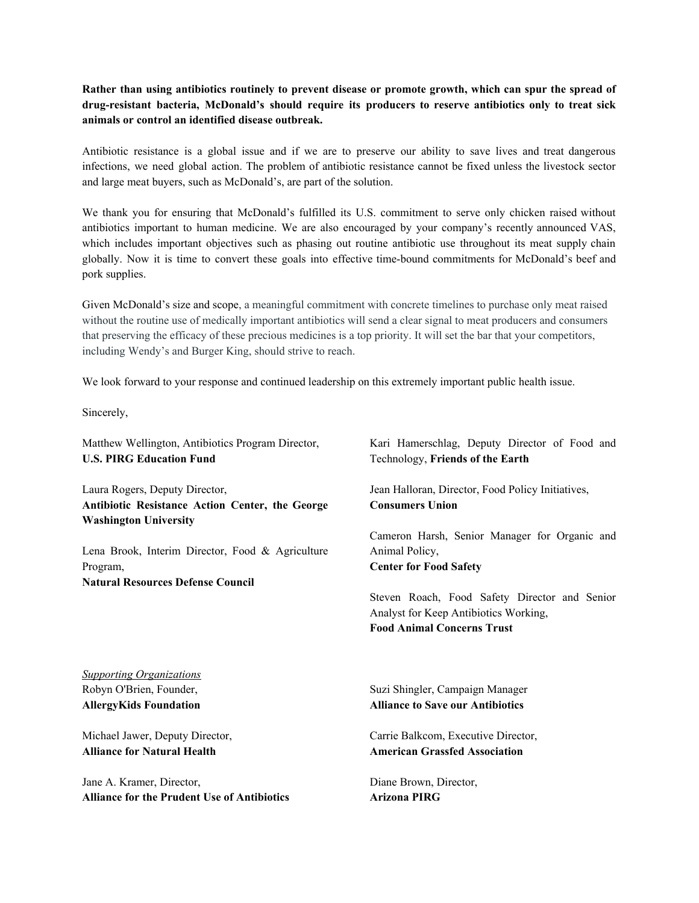Rather than using antibiotics routinely to prevent disease or promote growth, which can spur the spread of **drug-resistant bacteria, McDonald's should require its producers to reserve antibiotics only to treat sick animals or control an identified disease outbreak.**

Antibiotic resistance is a global issue and if we are to preserve our ability to save lives and treat dangerous infections, we need global action. The problem of antibiotic resistance cannot be fixed unless the livestock sector and large meat buyers, such as McDonald's, are part of the solution.

We thank you for ensuring that McDonald's fulfilled its U.S. commitment to serve only chicken raised without antibiotics important to human medicine. We are also encouraged by your company's recently announced VAS, which includes important objectives such as phasing out routine antibiotic use throughout its meat supply chain globally. Now it is time to convert these goals into effective time-bound commitments for McDonald's beef and pork supplies.

Given McDonald's size and scope, a meaningful commitment with concrete timelines to purchase only meat raised without the routine use of medically important antibiotics will send a clear signal to meat producers and consumers that preserving the efficacy of these precious medicines is a top priority. It will set the bar that your competitors, including Wendy's and Burger King, should strive to reach.

We look forward to your response and continued leadership on this extremely important public health issue.

Sincerely,

Matthew Wellington, Antibiotics Program Director, **U.S. PIRG Education Fund**

Laura Rogers, Deputy Director, **Antibiotic Resistance Action Center, the George Washington University**

Lena Brook, Interim Director, Food & Agriculture Program, **Natural Resources Defense Council**

Kari Hamerschlag, Deputy Director of Food and Technology, **Friends of the Earth**

Jean Halloran, Director, Food Policy Initiatives, **Consumers Union**

Cameron Harsh, Senior Manager for Organic and Animal Policy, **Center for Food Safety**

Steven Roach, Food Safety Director and Senior Analyst for Keep Antibiotics Working, **Food Animal Concerns Trust**

*Supporting Organizations* Robyn O'Brien, Founder, **AllergyKids Foundation**

Michael Jawer, Deputy Director, **Alliance for Natural Health**

Jane A. Kramer, Director, **Alliance for the Prudent Use of Antibiotics** Suzi Shingler, Campaign Manager **Alliance to Save our Antibiotics**

Carrie Balkcom, Executive Director, **American Grassfed Association**

Diane Brown, Director, **Arizona PIRG**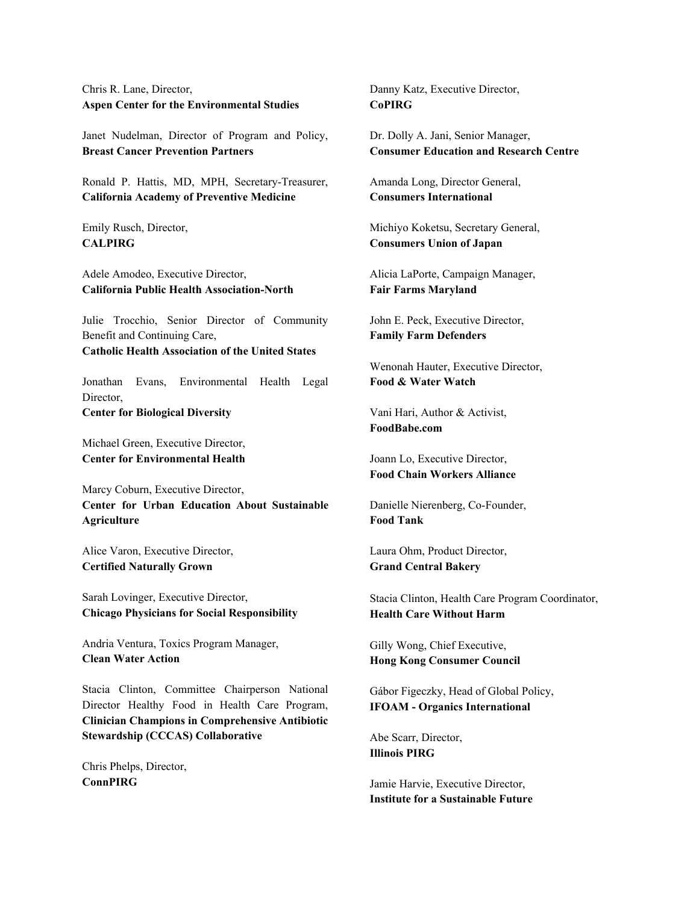Chris R. Lane, Director, **Aspen Center for the Environmental Studies**

Janet Nudelman, Director of Program and Policy, **Breast Cancer Prevention Partners**

Ronald P. Hattis, MD, MPH, Secretary-Treasurer, **California Academy of Preventive Medicine**

Emily Rusch, Director, **CALPIRG**

Adele Amodeo, Executive Director, **California Public Health Association-North**

Julie Trocchio, Senior Director of Community Benefit and Continuing Care, **Catholic Health Association of the United States**

Jonathan Evans, Environmental Health Legal Director, **Center for Biological Diversity**

Michael Green, Executive Director, **Center for Environmental Health**

Marcy Coburn, Executive Director, **Center for Urban Education About Sustainable Agriculture**

Alice Varon, Executive Director, **Certified Naturally Grown**

Sarah Lovinger, Executive Director, **Chicago Physicians for Social Responsibility**

Andria Ventura, Toxics Program Manager, **Clean Water Action**

Stacia Clinton, Committee Chairperson National Director Healthy Food in Health Care Program, **Clinician Champions in Comprehensive Antibiotic Stewardship (CCCAS) Collaborative**

Chris Phelps, Director, **ConnPIRG**

Danny Katz, Executive Director, **CoPIRG**

Dr. Dolly A. Jani, Senior Manager, **Consumer Education and Research Centre**

Amanda Long, Director General, **Consumers International**

Michiyo Koketsu, Secretary General, **Consumers Union of Japan**

Alicia LaPorte, Campaign Manager, **Fair Farms Maryland**

John E. Peck, Executive Director, **Family Farm Defenders**

Wenonah Hauter, Executive Director, **Food & Water Watch**

Vani Hari, Author & Activist, **FoodBabe.com**

Joann Lo, Executive Director, **Food Chain Workers Alliance**

Danielle Nierenberg, Co-Founder, **Food Tank**

Laura Ohm, Product Director, **Grand Central Bakery**

Stacia Clinton, Health Care Program Coordinator, **Health Care Without Harm**

Gilly Wong, Chief Executive, **Hong Kong Consumer Council**

Gábor Figeczky, Head of Global Policy, **IFOAM - Organics International**

Abe Scarr, Director, **Illinois PIRG**

Jamie Harvie, Executive Director, **Institute for a Sustainable Future**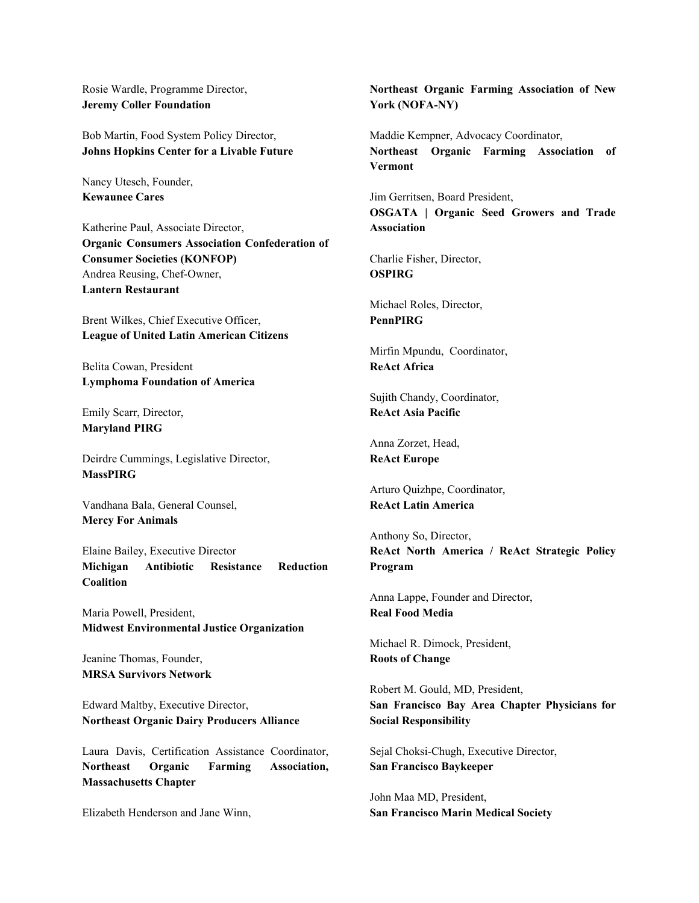Rosie Wardle, Programme Director, **Jeremy Coller Foundation**

Bob Martin, Food System Policy Director, **Johns Hopkins Center for a Livable Future**

Nancy Utesch, Founder, **Kewaunee Cares**

Katherine Paul, Associate Director, **Organic Consumers Association Confederation of Consumer Societies (KONFOP)** Andrea Reusing, Chef-Owner, **Lantern Restaurant**

Brent Wilkes, Chief Executive Officer, **League of United Latin American Citizens**

Belita Cowan, President **Lymphoma Foundation of America**

Emily Scarr, Director, **Maryland PIRG**

Deirdre Cummings, Legislative Director, **MassPIRG**

Vandhana Bala, General Counsel, **Mercy For Animals**

Elaine Bailey, Executive Director **Michigan Antibiotic Resistance Reduction Coalition**

Maria Powell, President, **Midwest Environmental Justice Organization**

Jeanine Thomas, Founder, **MRSA Survivors Network**

Edward Maltby, Executive Director, **Northeast Organic Dairy Producers Alliance**

Laura Davis, Certification Assistance Coordinator, **Northeast Organic Farming Association, Massachusetts Chapter**

Elizabeth Henderson and Jane Winn,

**Northeast Organic Farming Association of New York (NOFA-NY)**

Maddie Kempner, Advocacy Coordinator, **Northeast Organic Farming Association of Vermont**

Jim Gerritsen, Board President, **OSGATA | Organic Seed Growers and Trade Association**

Charlie Fisher, Director, **OSPIRG**

Michael Roles, Director, **PennPIRG**

Mirfin Mpundu, Coordinator, **ReAct Africa**

Sujith Chandy, Coordinator, **ReAct Asia Pacific**

Anna Zorzet, Head, **ReAct Europe**

Arturo Quizhpe, Coordinator, **ReAct Latin America**

Anthony So, Director, **ReAct North America / ReAct Strategic Policy Program**

Anna Lappe, Founder and Director, **Real Food Media**

Michael R. Dimock, President, **Roots of Change**

Robert M. Gould, MD, President, **San Francisco Bay Area Chapter Physicians for Social Responsibility**

Sejal Choksi-Chugh, Executive Director, **San Francisco Baykeeper**

John Maa MD, President, **San Francisco Marin Medical Society**